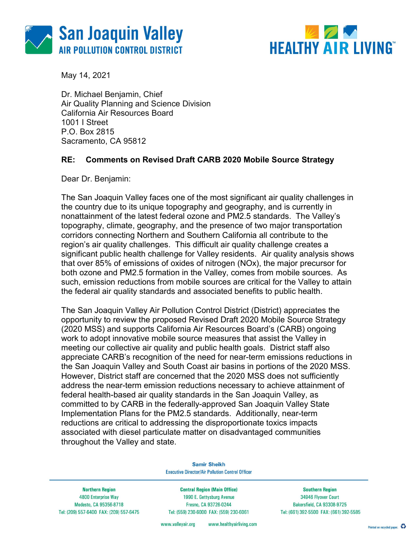



May 14, 2021

 Dr. Michael Benjamin, Chief Air Quality Planning and Science Division California Air Resources Board 1001 I Street P.O. Box 2815 Sacramento, CA 95812

### RE: Comments on Revised Draft CARB 2020 Mobile Source Strategy

Dear Dr. Benjamin:

 The San Joaquin Valley faces one of the most significant air quality challenges in the country due to its unique topography and geography, and is currently in nonattainment of the latest federal ozone and PM2.5 standards. The Valley's topography, climate, geography, and the presence of two major transportation corridors connecting Northern and Southern California all contribute to the region's air quality challenges. This difficult air quality challenge creates a significant public health challenge for Valley residents. Air quality analysis shows that over 85% of emissions of oxides of nitrogen (NOx), the major precursor for both ozone and PM2.5 formation in the Valley, comes from mobile sources. As such, emission reductions from mobile sources are critical for the Valley to attain the federal air quality standards and associated benefits to public health.

 The San Joaquin Valley Air Pollution Control District (District) appreciates the opportunity to review the proposed Revised Draft 2020 Mobile Source Strategy (2020 MSS) and supports California Air Resources Board's (CARB) ongoing work to adopt innovative mobile source measures that assist the Valley in meeting our collective air quality and public health goals. District staff also appreciate CARB's recognition of the need for near-term emissions reductions in the San Joaquin Valley and South Coast air basins in portions of the 2020 MSS. However, District staff are concerned that the 2020 MSS does not sufficiently address the near-term emission reductions necessary to achieve attainment of federal health-based air quality standards in the San Joaquin Valley, as committed to by CARB in the federally-approved San Joaquin Valley State Implementation Plans for the PM2.5 standards. Additionally, near-term reductions are critical to addressing the disproportionate toxics impacts associated with diesel particulate matter on disadvantaged communities throughout the Valley and state.

> **Samir Sheikh Executive Director/Air Pollution Control Officer**

**Northern Region** 4800 Enterprise Way Modesto, CA 95356-8718 Tel: (209) 557-6400 FAX: (209) 557-6475

**Central Region (Main Office)** 1990 E. Gettysburg Avenue Fresno, CA 93726-0244 Tel: (559) 230-6000 FAX: (559) 230-6061

**Southern Region** 34946 Flyover Court **Bakersfield, CA 93308-9725** Tel: (661) 392-5500 FAX: (661) 392-5585

www.healthyairliving.com www.valleyair.org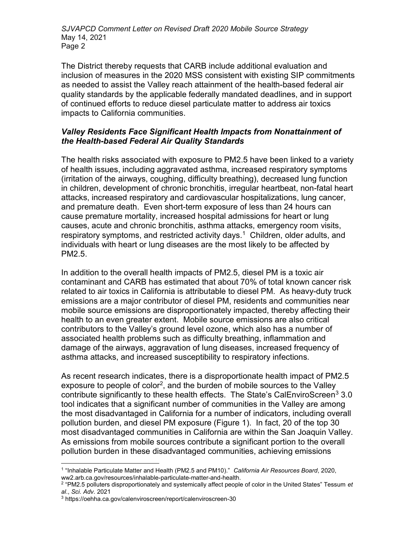The District thereby requests that CARB include additional evaluation and inclusion of measures in the 2020 MSS consistent with existing SIP commitments as needed to assist the Valley reach attainment of the health-based federal air quality standards by the applicable federally mandated deadlines, and in support of continued efforts to reduce diesel particulate matter to address air toxics impacts to California communities.

# Valley Residents Face Significant Health Impacts from Nonattainment of the Health-based Federal Air Quality Standards

 The health risks associated with exposure to PM2.5 have been linked to a variety of health issues, including aggravated asthma, increased respiratory symptoms (irritation of the airways, coughing, difficulty breathing), decreased lung function in children, development of chronic bronchitis, irregular heartbeat, non-fatal heart attacks, increased respiratory and cardiovascular hospitalizations, lung cancer, and premature death. Even short-term exposure of less than 24 hours can cause premature mortality, increased hospital admissions for heart or lung causes, acute and chronic bronchitis, asthma attacks, emergency room visits, respiratory symptoms, and restricted activity days.<sup>1</sup> Children, older adults, and individuals with heart or lung diseases are the most likely to be affected by PM2.5.

 In addition to the overall health impacts of PM2.5, diesel PM is a toxic air contaminant and CARB has estimated that about 70% of total known cancer risk related to air toxics in California is attributable to diesel PM. As heavy-duty truck emissions are a major contributor of diesel PM, residents and communities near mobile source emissions are disproportionately impacted, thereby affecting their health to an even greater extent. Mobile source emissions are also critical contributors to the Valley's ground level ozone, which also has a number of associated health problems such as difficulty breathing, inflammation and damage of the airways, aggravation of lung diseases, increased frequency of asthma attacks, and increased susceptibility to respiratory infections.

 As recent research indicates, there is a disproportionate health impact of PM2.5 exposure to people of color<sup>2</sup>, and the burden of mobile sources to the Valley contribute significantly to these health effects. The State's CalEnviroScreen<sup>3</sup> 3.0 tool indicates that a significant number of communities in the Valley are among the most disadvantaged in California for a number of indicators, including overall pollution burden, and diesel PM exposure (Figure 1). In fact, 20 of the top 30 most disadvantaged communities in California are within the San Joaquin Valley. As emissions from mobile sources contribute a significant portion to the overall pollution burden in these disadvantaged communities, achieving emissions

 $\overline{a}$ <sup>1</sup> "Inhalable Particulate Matter and Health (PM2.5 and PM10)." California Air Resources Board, 2020, [ww2.arb.ca.gov/resources/inhalable-particulate-matter-and-health](https://ww2.arb.ca.gov/resources/inhalable-particulate-matter-and-health).

 $^2$  "PM2.5 polluters disproportionately and systemically affect people of color in the United States" Tessum *et* al., Sci. Adv. 2021

<sup>3</sup> <https://oehha.ca.gov/calenviroscreen/report/calenviroscreen-30>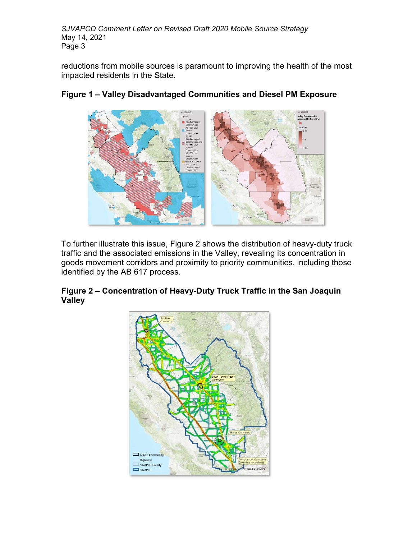reductions from mobile sources is paramount to improving the health of the most impacted residents in the State.



# Figure 1 – Valley Disadvantaged Communities and Diesel PM Exposure

 To further illustrate this issue, Figure 2 shows the distribution of heavy-duty truck traffic and the associated emissions in the Valley, revealing its concentration in goods movement corridors and proximity to priority communities, including those identified by the AB 617 process.

# Figure 2 – Concentration of Heavy-Duty Truck Traffic in the San Joaquin Valley

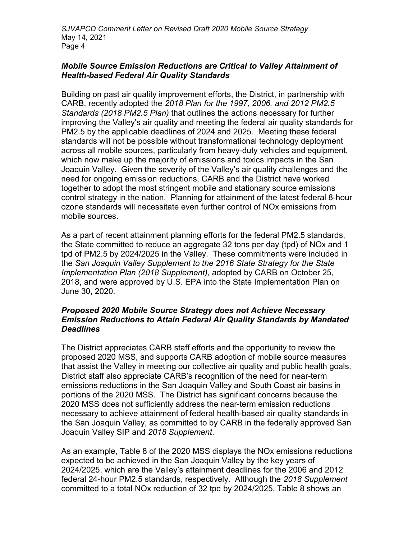#### Mobile Source Emission Reductions are Critical to Valley Attainment of Health-based Federal Air Quality Standards

 Building on past air quality improvement efforts, the District, in partnership with CARB, recently adopted the 2018 Plan for the 1997, 2006, and 2012 PM2.5 Standards (2018 PM2.5 Plan) that outlines the actions necessary for further improving the Valley's air quality and meeting the federal air quality standards for PM2.5 by the applicable deadlines of 2024 and 2025. Meeting these federal standards will not be possible without transformational technology deployment across all mobile sources, particularly from heavy-duty vehicles and equipment, which now make up the majority of emissions and toxics impacts in the San Joaquin Valley. Given the severity of the Valley's air quality challenges and the need for ongoing emission reductions, CARB and the District have worked together to adopt the most stringent mobile and stationary source emissions control strategy in the nation. Planning for attainment of the latest federal 8-hour ozone standards will necessitate even further control of NOx emissions from mobile sources.

 As a part of recent attainment planning efforts for the federal PM2.5 standards, the State committed to reduce an aggregate 32 tons per day (tpd) of NOx and 1 tpd of PM2.5 by 2024/2025 in the Valley. These commitments were included in the San Joaquin Valley Supplement to the 2016 State Strategy for the State Implementation Plan (2018 Supplement), adopted by CARB on October 25, 2018, and were approved by U.S. EPA into the State Implementation Plan on June 30, 2020.

### Proposed 2020 Mobile Source Strategy does not Achieve Necessary Emission Reductions to Attain Federal Air Quality Standards by Mandated **Deadlines**

 The District appreciates CARB staff efforts and the opportunity to review the proposed 2020 MSS, and supports CARB adoption of mobile source measures that assist the Valley in meeting our collective air quality and public health goals. District staff also appreciate CARB's recognition of the need for near-term emissions reductions in the San Joaquin Valley and South Coast air basins in portions of the 2020 MSS. The District has significant concerns because the 2020 MSS does not sufficiently address the near-term emission reductions necessary to achieve attainment of federal health-based air quality standards in the San Joaquin Valley, as committed to by CARB in the federally approved San Joaquin Valley SIP and 2018 Supplement.

 As an example, Table 8 of the 2020 MSS displays the NOx emissions reductions expected to be achieved in the San Joaquin Valley by the key years of 2024/2025, which are the Valley's attainment deadlines for the 2006 and 2012 federal 24-hour PM2.5 standards, respectively. Although the 2018 Supplement committed to a total NOx reduction of 32 tpd by 2024/2025, Table 8 shows an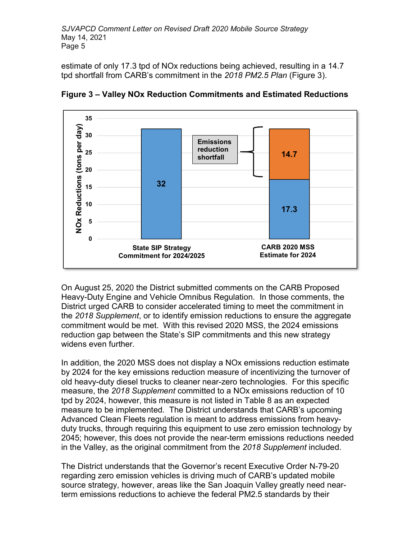estimate of only 17.3 tpd of NOx reductions being achieved, resulting in a 14.7 tpd shortfall from CARB's commitment in the *2018 PM2.5 Plan* (Figure 3).



Figure 3 – Valley NOx Reduction Commitments and Estimated Reductions

 On August 25, 2020 the District submitted comments on the CARB Proposed Heavy-Duty Engine and Vehicle Omnibus Regulation. In those comments, the District urged CARB to consider accelerated timing to meet the commitment in the 2018 Supplement, or to identify emission reductions to ensure the aggregate commitment would be met. With this revised 2020 MSS, the 2024 emissions reduction gap between the State's SIP commitments and this new strategy widens even further.

 In addition, the 2020 MSS does not display a NOx emissions reduction estimate by 2024 for the key emissions reduction measure of incentivizing the turnover of old heavy-duty diesel trucks to cleaner near-zero technologies. For this specific measure, the 2018 Supplement committed to a NOx emissions reduction of 10 tpd by 2024, however, this measure is not listed in Table 8 as an expected measure to be implemented. The District understands that CARB's upcoming Advanced Clean Fleets regulation is meant to address emissions from heavy- duty trucks, through requiring this equipment to use zero emission technology by 2045; however, this does not provide the near-term emissions reductions needed in the Valley, as the original commitment from the 2018 Supplement included.

 The District understands that the Governor's recent Executive Order N-79-20 regarding zero emission vehicles is driving much of CARB's updated mobile source strategy, however, areas like the San Joaquin Valley greatly need near-term emissions reductions to achieve the federal PM2.5 standards by their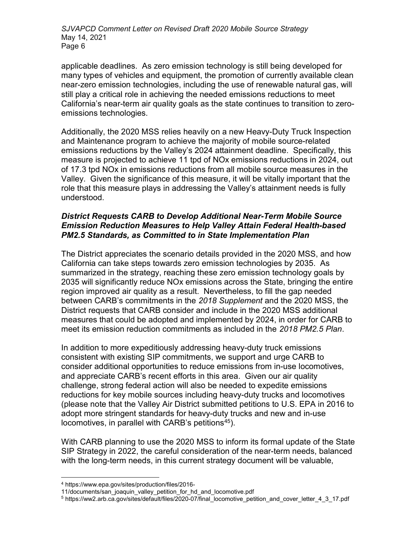applicable deadlines. As zero emission technology is still being developed for many types of vehicles and equipment, the promotion of currently available clean near-zero emission technologies, including the use of renewable natural gas, will still play a critical role in achieving the needed emissions reductions to meet California's near-term air quality goals as the state continues to transition to zeroemissions technologies.

 Additionally, the 2020 MSS relies heavily on a new Heavy-Duty Truck Inspection and Maintenance program to achieve the majority of mobile source-related emissions reductions by the Valley's 2024 attainment deadline. Specifically, this measure is projected to achieve 11 tpd of NOx emissions reductions in 2024, out of 17.3 tpd NOx in emissions reductions from all mobile source measures in the Valley. Given the significance of this measure, it will be vitally important that the role that this measure plays in addressing the Valley's attainment needs is fully understood.

# District Requests CARB to Develop Additional Near-Term Mobile Source Emission Reduction Measures to Help Valley Attain Federal Health-based PM2.5 Standards, as Committed to in State Implementation Plan

 The District appreciates the scenario details provided in the 2020 MSS, and how California can take steps towards zero emission technologies by 2035. As summarized in the strategy, reaching these zero emission technology goals by 2035 will significantly reduce NOx emissions across the State, bringing the entire region improved air quality as a result. Nevertheless, to fill the gap needed between CARB's commitments in the 2018 Supplement and the 2020 MSS, the District requests that CARB consider and include in the 2020 MSS additional measures that could be adopted and implemented by 2024, in order for CARB to meet its emission reduction commitments as included in the 2018 PM2.5 Plan.

 In addition to more expeditiously addressing heavy-duty truck emissions consistent with existing SIP commitments, we support and urge CARB to consider additional opportunities to reduce emissions from in-use locomotives, and appreciate CARB's recent efforts in this area. Given our air quality challenge, strong federal action will also be needed to expedite emissions reductions for key mobile sources including heavy-duty trucks and locomotives (please note that the Valley Air District submitted petitions to U.S. EPA in 2016 to adopt more stringent standards for heavy-duty trucks and new and in-use locomotives, in parallel with CARB's petitions $45$ ).

 With CARB planning to use the 2020 MSS to inform its formal update of the State SIP Strategy in 2022, the careful consideration of the near-term needs, balanced with the long-term needs, in this current strategy document will be valuable,

 $\overline{a}$ 

<sup>4</sup> <https://www.epa.gov/sites/production/files/2016>-

<sup>11/</sup>documents/san\_joaquin\_valley\_petition\_for\_hd\_and\_locomotive.pdf

<sup>&</sup>lt;sup>5</sup> [https://ww2.arb.ca.gov/sites/default/files/2020-07/final\\_locomotive\\_petition\\_and\\_cover\\_letter\\_4\\_3\\_17.pdf](https://ww2.arb.ca.gov/sites/default/files/2020-07/final_locomotive_petition_and_cover_letter_4_3_17.pdf)